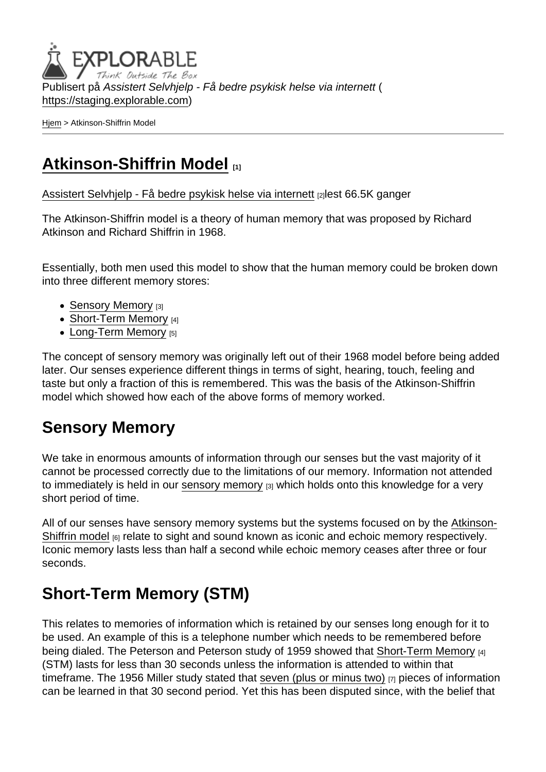Publisert på Assistert Selvhjelp - Få bedre psykisk helse via internett ( <https://staging.explorable.com>)

[Hjem](https://staging.explorable.com/) > Atkinson-Shiffrin Model

## [Atkinson-Shiffrin Model](https://staging.explorable.com/atkinson-shiffrin-model) [1]

[Assistert Selvhjelp - Få bedre psykisk helse via internett](https://staging.explorable.com/en) [2]lest 66.5K ganger

The Atkinson-Shiffrin model is a theory of human memory that was proposed by Richard Atkinson and Richard Shiffrin in 1968.

Essentially, both men used this model to show that the human memory could be broken down into three different memory stores:

- [Sensory Memory](https://staging.explorable.com/sensory-memory) [3]
- [Short-Term Memory](https://staging.explorable.com/short-term-memory) [4]
- [Long-Term Memory](https://staging.explorable.com/long-term-memory) [5]

The concept of sensory memory was originally left out of their 1968 model before being added later. Our senses experience different things in terms of sight, hearing, touch, feeling and taste but only a fraction of this is remembered. This was the basis of the Atkinson-Shiffrin model which showed how each of the above forms of memory worked.

#### Sensory Memory

We take in enormous amounts of information through our senses but the vast majority of it cannot be processed correctly due to the limitations of our memory. Information not attended to immediately is held in our [sensory memory](https://staging.explorable.com/sensory-memory) [3] which holds onto this knowledge for a very short period of time.

All of our senses have sensory memory systems but the systems focused on by the [Atkinson-](http://users.ipfw.edu/abbott/120/AtkinsonShifrin)[Shiffrin model](http://users.ipfw.edu/abbott/120/AtkinsonShifrin) [6] relate to sight and sound known as iconic and echoic memory respectively. Iconic memory lasts less than half a second while echoic memory ceases after three or four seconds.

# Short-Term Memory (STM)

This relates to memories of information which is retained by our senses long enough for it to be used. An example of this is a telephone number which needs to be remembered before being dialed. The Peterson and Peterson study of 1959 showed that [Short-Term Memory](https://staging.explorable.com/short-term-memory) [4] (STM) lasts for less than 30 seconds unless the information is attended to within that timeframe. The 1956 Miller study stated that [seven \(plus or minus two\)](http://www.musanim.com/miller1956/) <sub>[7]</sub> pieces of information can be learned in that 30 second period. Yet this has been disputed since, with the belief that